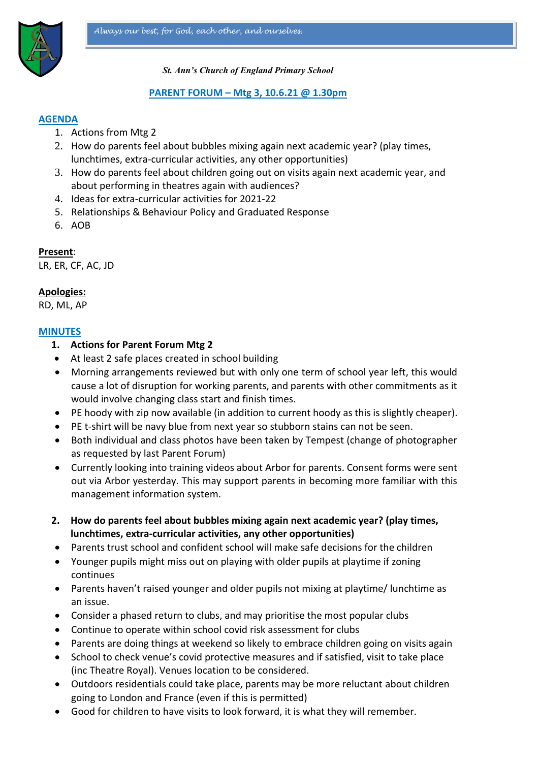

*St. Ann's Church of England Primary School*

### **PARENT FORUM – Mtg 3, 10.6.21 @ 1.30pm**

### **AGENDA**

- 1. Actions from Mtg 2
- 2. How do parents feel about bubbles mixing again next academic year? (play times, lunchtimes, extra-curricular activities, any other opportunities)
- 3. How do parents feel about children going out on visits again next academic year, and about performing in theatres again with audiences?
- 4. Ideas for extra-curricular activities for 2021-22
- 5. Relationships & Behaviour Policy and Graduated Response
- 6. AOB

**Present**:

LR, ER, CF, AC, JD

### **Apologies:**

RD, ML, AP

#### **MINUTES**

- **1. Actions for Parent Forum Mtg 2**
- At least 2 safe places created in school building
- Morning arrangements reviewed but with only one term of school year left, this would cause a lot of disruption for working parents, and parents with other commitments as it would involve changing class start and finish times.
- PE hoody with zip now available (in addition to current hoody as this is slightly cheaper).
- PE t-shirt will be navy blue from next year so stubborn stains can not be seen.
- Both individual and class photos have been taken by Tempest (change of photographer as requested by last Parent Forum)
- Currently looking into training videos about Arbor for parents. Consent forms were sent out via Arbor yesterday. This may support parents in becoming more familiar with this management information system.
- **2. How do parents feel about bubbles mixing again next academic year? (play times, lunchtimes, extra-curricular activities, any other opportunities)**
- Parents trust school and confident school will make safe decisions for the children
- Younger pupils might miss out on playing with older pupils at playtime if zoning continues
- Parents haven't raised younger and older pupils not mixing at playtime/ lunchtime as an issue.
- Consider a phased return to clubs, and may prioritise the most popular clubs
- Continue to operate within school covid risk assessment for clubs
- Parents are doing things at weekend so likely to embrace children going on visits again
- School to check venue's covid protective measures and if satisfied, visit to take place (inc Theatre Royal). Venues location to be considered.
- Outdoors residentials could take place, parents may be more reluctant about children going to London and France (even if this is permitted)
- Good for children to have visits to look forward, it is what they will remember.